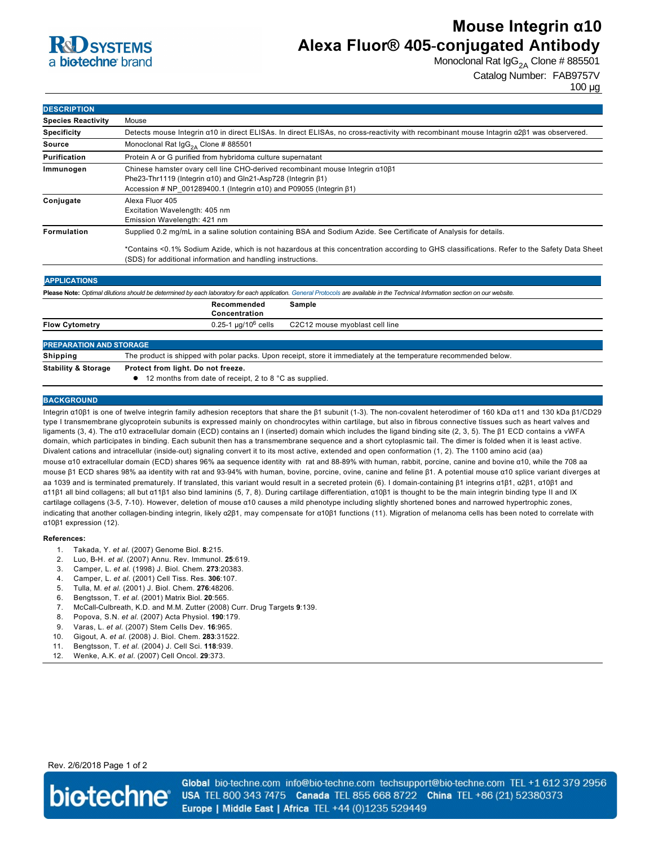

# **Mouse Integrin α10 Alexa Fluor® 405-conjugated Antibody**

Monoclonal Rat  $\lg G_{2A}$  Clone # 885501

Catalog Number: FAB9757V

100 µg

| <b>DESCRIPTION</b>        |                                                                                                                                                                                                                                                                  |  |  |
|---------------------------|------------------------------------------------------------------------------------------------------------------------------------------------------------------------------------------------------------------------------------------------------------------|--|--|
| <b>Species Reactivity</b> | Mouse                                                                                                                                                                                                                                                            |  |  |
| <b>Specificity</b>        | Detects mouse Integrin a10 in direct ELISAs. In direct ELISAs, no cross-reactivity with recombinant mouse Intagrin a2β1 was observered.                                                                                                                          |  |  |
| Source                    | Monoclonal Rat $\lg G_{2A}$ Clone # 885501                                                                                                                                                                                                                       |  |  |
| Purification              | Protein A or G purified from hybridoma culture supernatant                                                                                                                                                                                                       |  |  |
| Immunogen                 | Chinese hamster ovary cell line CHO-derived recombinant mouse Integrin a1081<br>Phe23-Thr1119 (Integrin $\alpha$ 10) and Gln21-Asp728 (Integrin $\beta$ 1)<br>Accession # NP $001289400.1$ (Integrin $\alpha$ 10) and P09055 (Integrin $\beta$ 1)                |  |  |
| Conjugate                 | Alexa Fluor 405<br>Excitation Wavelength: 405 nm<br>Emission Wavelength: 421 nm                                                                                                                                                                                  |  |  |
| Formulation               | Supplied 0.2 mg/mL in a saline solution containing BSA and Sodium Azide. See Certificate of Analysis for details.<br>*Contains <0.1% Sodium Azide, which is not hazardous at this concentration according to GHS classifications. Refer to the Safety Data Sheet |  |  |

(SDS) for additional information and handling instructions.

# **APPLICATIONS**

**Please Note:** *Optimal dilutions should be determined by each laboratory for each application. [General Protocols](http://www.rndsystems.com/resources/protocols-troubleshooting-guides) are available in the Technical Information section on our website.*

|                                | Recommended<br>Concentration                                                                                      | Sample                         |
|--------------------------------|-------------------------------------------------------------------------------------------------------------------|--------------------------------|
| <b>Flow Cytometry</b>          | $0.25$ -1 µg/10 $^6$ cells                                                                                        | C2C12 mouse myoblast cell line |
| <b>PREPARATION AND STORAGE</b> |                                                                                                                   |                                |
|                                | The product is shipped with polar packs. Upon receipt, store it immediately at the temperature recommended below. |                                |
| Shipping                       |                                                                                                                   |                                |

## **BACKGROUND**

Integrin α10β1 is one of twelve integrin family adhesion receptors that share the β1 subunit (1-3). The non-covalent heterodimer of 160 kDa α11 and 130 kDa β1/CD29 type I transmembrane glycoprotein subunits is expressed mainly on chondrocytes within cartilage, but also in fibrous connective tissues such as heart valves and ligaments (3, 4). The α10 extracellular domain (ECD) contains an I (inserted) domain which includes the ligand binding site (2, 3, 5). The β1 ECD contains a vWFA domain, which participates in binding. Each subunit then has a transmembrane sequence and a short cytoplasmic tail. The dimer is folded when it is least active. Divalent cations and intracellular (inside-out) signaling convert it to its most active, extended and open conformation (1, 2). The 1100 amino acid (aa) mouse α10 extracellular domain (ECD) shares 96% aa sequence identity with rat and 88-89% with human, rabbit, porcine, canine and bovine α10, while the 708 aa mouse β1 ECD shares 98% aa identity with rat and 9394% with human, bovine, porcine, ovine, canine and feline β1. A potential mouse α10 splice variant diverges at aa 1039 and is terminated prematurely. If translated, this variant would result in a secreted protein (6). I domain-containing β1 integrins α1β1, α2β1, α10β1 and α11β1 all bind collagens; all but α11β1 also bind laminins (5, 7, 8). During cartilage differentiation, α10β1 is thought to be the main integrin binding type II and IX cartilage collagens (35, 710). However, deletion of mouse α10 causes a mild phenotype including slightly shortened bones and narrowed hypertrophic zones, indicating that another collagen-binding integrin, likely α2β1, may compensate for α10β1 functions (11). Migration of melanoma cells has been noted to correlate with α10β1 expression (12).

#### **References:**

- 1. Takada, Y. *et al*. (2007) Genome Biol. **8**:215.
- 2. Luo, BH. *et al*. (2007) Annu. Rev. Immunol. **25**:619.
- 3. Camper, L. *et al.* (1998) J. Biol. Chem. **273**:20383.
- 4. Camper, L. *et al.* (2001) Cell Tiss. Res. **306**:107.
- 5. Tulla, M. *et al.* (2001) J. Biol. Chem. **276**:48206.
- 6. Bengtsson, T. *et al.* (2001) Matrix Biol. **20**:565.
- 7. McCall-Culbreath, K.D. and M.M. Zutter (2008) Curr. Drug Targets 9:139.
- 8. Popova, S.N. *et al.* (2007) Acta Physiol. **190**:179.
- 9. Varas, L. *et al.* (2007) Stem Cells Dev. **16**:965.
- 10. Gigout, A. *et al.* (2008) J. Biol. Chem. **283**:31522.
- 11. Bengtsson, T. *et al.* (2004) J. Cell Sci. **118**:939.
- 12. Wenke, A.K. *et al.* (2007) Cell Oncol. **29**:373.

#### Rev. 2/6/2018 Page 1 of 2



Global bio-techne.com info@bio-techne.com techsupport@bio-techne.com TEL +1 612 379 2956 USA TEL 800 343 7475 Canada TEL 855 668 8722 China TEL +86 (21) 52380373 Europe | Middle East | Africa TEL +44 (0)1235 529449